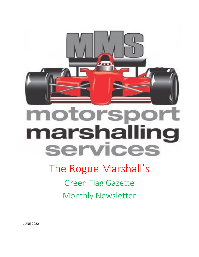

**CALL BAR** 

# The Rogue Marshall's

Green Flag Gazette Monthly Newsletter

JUNE 2022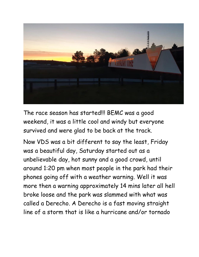

The race season has started!!! BEMC was a good weekend, it was a little cool and windy but everyone survived and were glad to be back at the track.

Now VDS was a bit different to say the least, Friday was a beautiful day, Saturday started out as a unbelievable day, hot sunny and a good crowd, until around 1:20 pm when most people in the park had their phones going off with a weather warning. Well it was more then a warning approximately 14 mins later all hell broke loose and the park was slammed with what was called a Derecho. A Derecho is a fast moving straight line of a storm that is like a hurricane and/or tornado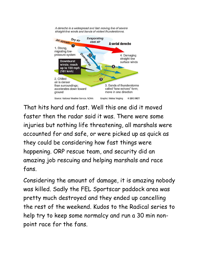

A derecho is a widespread and fast moving line of severe

That hits hard and fast. Well this one did it moved faster then the radar said it was. There were some injuries but nothing life threatening, all marshals were accounted for and safe, or were picked up as quick as they could be considering how fast things were happening. ORP rescue team, and security did an amazing job rescuing and helping marshals and race fans.

Considering the amount of damage, it is amazing nobody was killed. Sadly the FEL Sportscar paddock area was pretty much destroyed and they ended up cancelling the rest of the weekend. Kudos to the Radical series to help try to keep some normalcy and run a 30 min nonpoint race for the fans.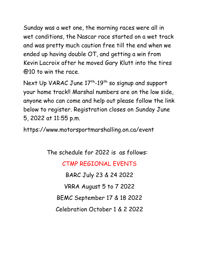Sunday was a wet one, the morning races were all in wet conditions, the Nascar race started on a wet track and was pretty much caution free till the end when we ended up having double OT, and getting a win from Kevin Lacroix after he moved Gary Klutt into the tires @10 to win the race.

Next Up VARAC June  $17^{\text{th}}$ -19<sup>th</sup> so signup and support your home track!! Marshal numbers are on the low side, anyone who can come and help out please follow the link below to register. Registration closes on Sunday June 5, 2022 at 11:55 p.m.

https://www.motorsportmarshalling.on.ca/event

The schedule for 2022 is as follows:

CTMP REGIONAL EVENTS BARC July 23 & 24 2022

VRRA August 5 to 7 2022

BEMC September 17 & 18 2022

Celebration October 1 & 2 2022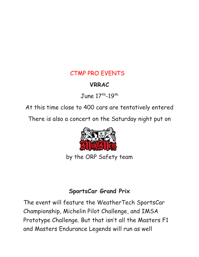#### CTMP PRO EVENTS

### **VRRAC**

June  $17^{\text{th}}$ -19<sup>th</sup>

At this time close to 400 cars are tentatively entered

There is also a concert on the Saturday night put on



by the ORP Safety team

#### **SportsCar Grand Prix**

The event will feature the WeatherTech SportsCar Championship, Michelin Pilot Challenge, and IMSA Prototype Challenge. But that isn't all the Masters F1 and Masters Endurance Legends will run as well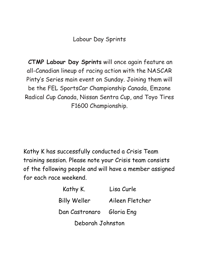Labour Day Sprints

**CTMP Labour Day Sprints** will once again feature an all-Canadian lineup of racing action with the NASCAR Pinty's Series main event on Sunday. Joining them will be the FEL SportsCar Championship Canada, Emzone Radical Cup Canada, Nissan Sentra Cup, and Toyo Tires F1600 Championship.

Kathy K has successfully conducted a Crisis Team training session. Please note your Crisis team consists of the following people and will have a member assigned for each race weekend.

| Kathy K.                  | Lisa Curle      |
|---------------------------|-----------------|
| <b>Billy Weller</b>       | Aileen Fletcher |
| Dan Castronaro Gloria Eng |                 |
| Deborah Johnston          |                 |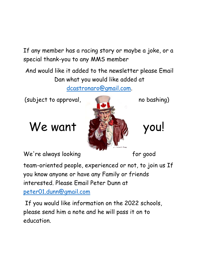If any member has a racing story or maybe a joke, or a special thank-you to any MMS member

And would like it added to the newsletter please Email Dan what you would like added at [dcastronaro@gmail.com.](mailto:dcastronaro@gmail.com)

(subject to approval, and the bashing)





We're always looking extending the for good

team-oriented people, experienced or not, to join us If you know anyone or have any Family or friends interested. Please Email Peter Dunn at

[peter01.dunn@gmail.com](mailto:peter01.dunn@gmail.com)

If you would like information on the 2022 schools, please send him a note and he will pass it on to education.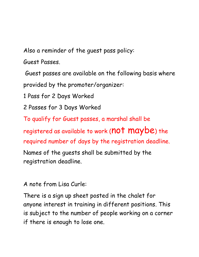Also a reminder of the guest pass policy:

Guest Passes.

Guest passes are available on the following basis where provided by the promoter/organizer:

1 Pass for 2 Days Worked

2 Passes for 3 Days Worked

To qualify for Guest passes, a marshal shall be

registered as available to work (not maybe) the

required number of days by the registration deadline.

Names of the guests shall be submitted by the registration deadline.

A note from Lisa Curle:

There is a sign up sheet posted in the chalet for anyone interest in training in different positions. This is subject to the number of people working on a corner if there is enough to lose one.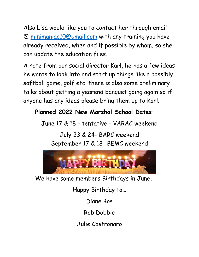Also Lisa would like you to contact her through email @ [minimaniac10@gmail.com](mailto:minimaniac10@gmail.com) with any training you have already received, when and if possible by whom, so she can update the education files.

A note from our social director Karl, he has a few ideas he wants to look into and start up things like a possibly softball game, golf etc. there is also some preliminary talks about getting a yearend banquet going again so if anyone has any ideas please bring them up to Karl.

#### **Planned 2022 New Marshal School Dates:**

June 17 & 18 - tentative - VARAC weekend

July 23 & 24- BARC weekend September 17 & 18- BEMC weekend



We have some members Birthdays in June,

Happy Birthday to…

Diane Bos

Rob Dobbie

Julie Castronaro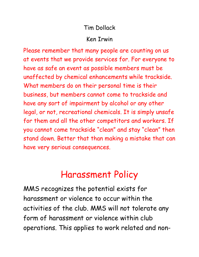#### Tim Dollack

#### Ken Irwin

Please remember that many people are counting on us at events that we provide services for. For everyone to have as safe an event as possible members must be unaffected by chemical enhancements while trackside. What members do on their personal time is their business, but members cannot come to trackside and have any sort of impairment by alcohol or any other legal, or not, recreational chemicals. It is simply unsafe for them and all the other competitors and workers. If you cannot come trackside "clean" and stay "clean" then stand down. Better that than making a mistake that can have very serious consequences.

## Harassment Policy

MMS recognizes the potential exists for harassment or violence to occur within the activities of the club. MMS will not tolerate any form of harassment or violence within club operations. This applies to work related and non